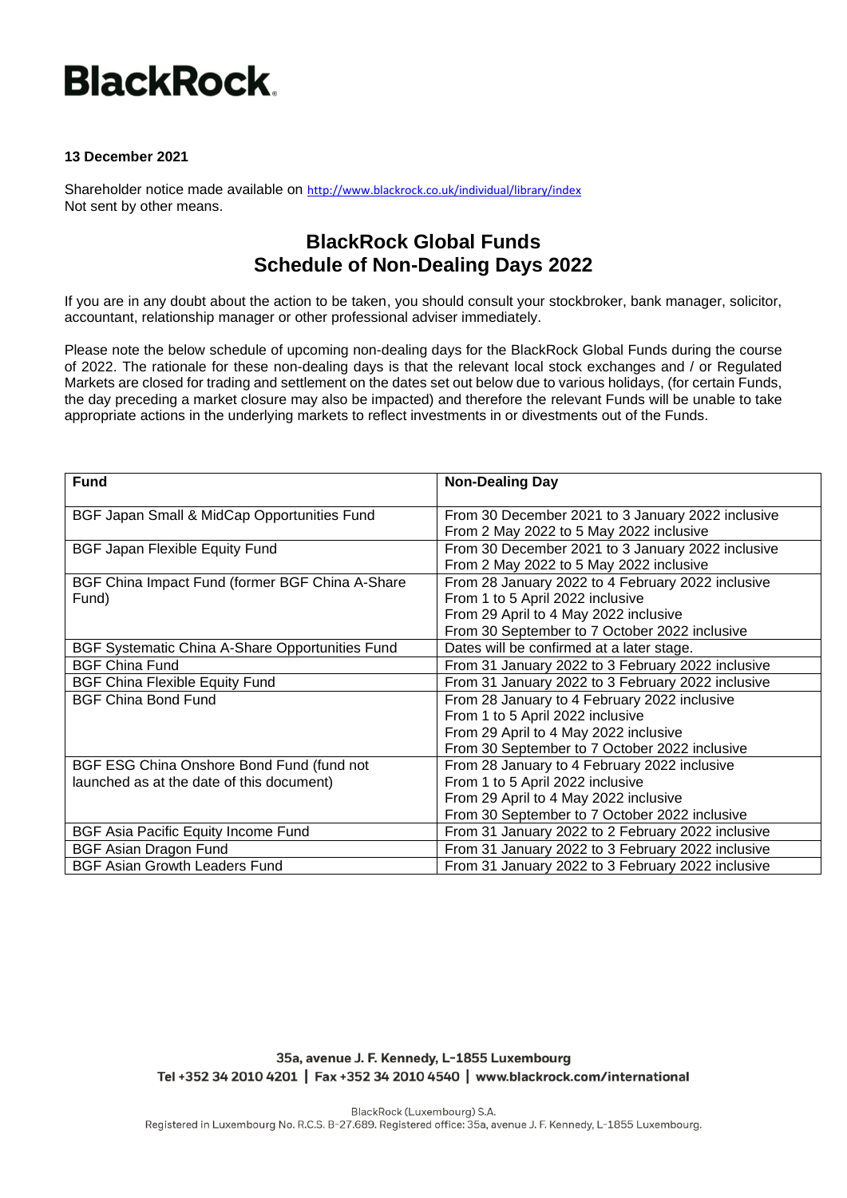## **BlackRock.**

## **13 December 2021**

Shareholder notice made available on <http://www.blackrock.co.uk/individual/library/index> Not sent by other means.

## **BlackRock Global Funds Schedule of Non-Dealing Days 2022**

If you are in any doubt about the action to be taken, you should consult your stockbroker, bank manager, solicitor, accountant, relationship manager or other professional adviser immediately.

Please note the below schedule of upcoming non-dealing days for the BlackRock Global Funds during the course of 2022. The rationale for these non-dealing days is that the relevant local stock exchanges and / or Regulated Markets are closed for trading and settlement on the dates set out below due to various holidays, (for certain Funds, the day preceding a market closure may also be impacted) and therefore the relevant Funds will be unable to take appropriate actions in the underlying markets to reflect investments in or divestments out of the Funds.

| <b>Fund</b>                                     | <b>Non-Dealing Day</b>                            |
|-------------------------------------------------|---------------------------------------------------|
| BGF Japan Small & MidCap Opportunities Fund     | From 30 December 2021 to 3 January 2022 inclusive |
|                                                 | From 2 May 2022 to 5 May 2022 inclusive           |
| <b>BGF Japan Flexible Equity Fund</b>           | From 30 December 2021 to 3 January 2022 inclusive |
|                                                 | From 2 May 2022 to 5 May 2022 inclusive           |
| BGF China Impact Fund (former BGF China A-Share | From 28 January 2022 to 4 February 2022 inclusive |
| Fund)                                           | From 1 to 5 April 2022 inclusive                  |
|                                                 | From 29 April to 4 May 2022 inclusive             |
|                                                 | From 30 September to 7 October 2022 inclusive     |
| BGF Systematic China A-Share Opportunities Fund | Dates will be confirmed at a later stage.         |
| <b>BGF China Fund</b>                           | From 31 January 2022 to 3 February 2022 inclusive |
| <b>BGF China Flexible Equity Fund</b>           | From 31 January 2022 to 3 February 2022 inclusive |
| <b>BGF China Bond Fund</b>                      | From 28 January to 4 February 2022 inclusive      |
|                                                 | From 1 to 5 April 2022 inclusive                  |
|                                                 | From 29 April to 4 May 2022 inclusive             |
|                                                 | From 30 September to 7 October 2022 inclusive     |
| BGF ESG China Onshore Bond Fund (fund not       | From 28 January to 4 February 2022 inclusive      |
| launched as at the date of this document)       | From 1 to 5 April 2022 inclusive                  |
|                                                 | From 29 April to 4 May 2022 inclusive             |
|                                                 | From 30 September to 7 October 2022 inclusive     |
| BGF Asia Pacific Equity Income Fund             | From 31 January 2022 to 2 February 2022 inclusive |
| <b>BGF Asian Dragon Fund</b>                    | From 31 January 2022 to 3 February 2022 inclusive |
| <b>BGF Asian Growth Leaders Fund</b>            | From 31 January 2022 to 3 February 2022 inclusive |

35a, avenue J. F. Kennedy, L-1855 Luxembourg Tel +352 34 2010 4201 | Fax +352 34 2010 4540 | www.blackrock.com/international

BlackRock (Luxembourg) S.A. Registered in Luxembourg No. R.C.S. B-27.689. Registered office: 35a, avenue J. F. Kennedy, L-1855 Luxembourg.